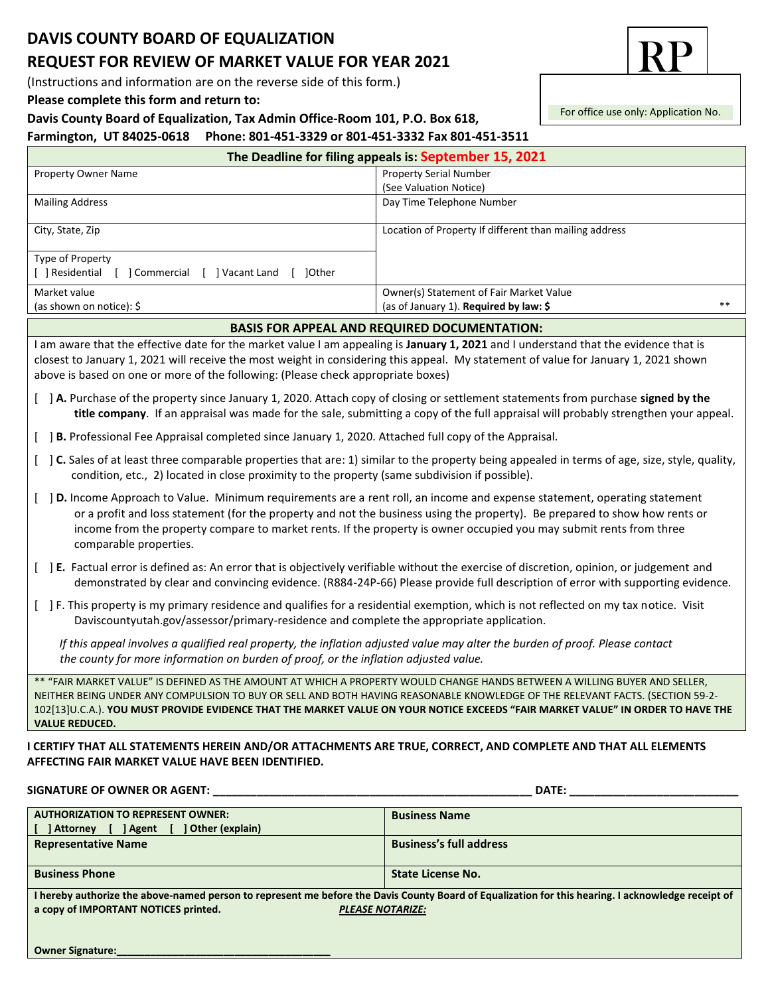## **DAVIS COUNTY BOARD OF EQUALIZATION REQUEST FOR REVIEW OF MARKET VALUE FOR YEAR 2021**

(Instructions and information are on the reverse side of this form.)

**Please complete this form and return to:**

#### **Davis County Board of Equalization, Tax Admin Office-Room 101, P.O. Box 618,**

## **Farmington, UT 84025-0618 Phone: 801-451-3329 or 801-451-3332 Fax 801-451-3511**

| The Deadline for filing appeals is: September 15, 2021                                                                                                                                                                                                                                                                                                                                                                 |                                                                                           |
|------------------------------------------------------------------------------------------------------------------------------------------------------------------------------------------------------------------------------------------------------------------------------------------------------------------------------------------------------------------------------------------------------------------------|-------------------------------------------------------------------------------------------|
| <b>Property Owner Name</b>                                                                                                                                                                                                                                                                                                                                                                                             | <b>Property Serial Number</b>                                                             |
|                                                                                                                                                                                                                                                                                                                                                                                                                        | (See Valuation Notice)                                                                    |
| <b>Mailing Address</b>                                                                                                                                                                                                                                                                                                                                                                                                 | Day Time Telephone Number                                                                 |
| City, State, Zip                                                                                                                                                                                                                                                                                                                                                                                                       | Location of Property If different than mailing address                                    |
| Type of Property<br>[ ] Residential [ ] Commercial [ ] Vacant Land [ ] Other                                                                                                                                                                                                                                                                                                                                           |                                                                                           |
| Market value<br>(as shown on notice): $\frac{1}{2}$                                                                                                                                                                                                                                                                                                                                                                    | Owner(s) Statement of Fair Market Value<br>$**$<br>(as of January 1). Required by law: \$ |
|                                                                                                                                                                                                                                                                                                                                                                                                                        | <b>BASIS FOR APPEAL AND REQUIRED DOCUMENTATION:</b>                                       |
| I am aware that the effective date for the market value I am appealing is January 1, 2021 and I understand that the evidence that is<br>closest to January 1, 2021 will receive the most weight in considering this appeal. My statement of value for January 1, 2021 shown<br>above is based on one or more of the following: (Please check appropriate boxes)                                                        |                                                                                           |
| [ ] A. Purchase of the property since January 1, 2020. Attach copy of closing or settlement statements from purchase signed by the<br>title company. If an appraisal was made for the sale, submitting a copy of the full appraisal will probably strengthen your appeal.                                                                                                                                              |                                                                                           |
| [ ] B. Professional Fee Appraisal completed since January 1, 2020. Attached full copy of the Appraisal.                                                                                                                                                                                                                                                                                                                |                                                                                           |
| [ ] C. Sales of at least three comparable properties that are: 1) similar to the property being appealed in terms of age, size, style, quality,<br>condition, etc., 2) located in close proximity to the property (same subdivision if possible).                                                                                                                                                                      |                                                                                           |
| [ ] D. Income Approach to Value. Minimum requirements are a rent roll, an income and expense statement, operating statement<br>or a profit and loss statement (for the property and not the business using the property). Be prepared to show how rents or<br>income from the property compare to market rents. If the property is owner occupied you may submit rents from three<br>comparable properties.            |                                                                                           |
| [ ] E. Factual error is defined as: An error that is objectively verifiable without the exercise of discretion, opinion, or judgement and<br>demonstrated by clear and convincing evidence. (R884-24P-66) Please provide full description of error with supporting evidence.                                                                                                                                           |                                                                                           |
| [ ] F. This property is my primary residence and qualifies for a residential exemption, which is not reflected on my tax notice. Visit<br>Daviscountyutah.gov/assessor/primary-residence and complete the appropriate application.                                                                                                                                                                                     |                                                                                           |
| If this appeal involves a qualified real property, the inflation adjusted value may alter the burden of proof. Please contact<br>the county for more information on burden of proof, or the inflation adjusted value.                                                                                                                                                                                                  |                                                                                           |
| ** "FAIR MARKET VALUE" IS DEFINED AS THE AMOUNT AT WHICH A PROPERTY WOULD CHANGE HANDS BETWEEN A WILLING BUYER AND SELLER,<br>NEITHER BEING UNDER ANY COMPULSION TO BUY OR SELL AND BOTH HAVING REASONABLE KNOWLEDGE OF THE RELEVANT FACTS. (SECTION 59-2-<br>102[13]U.C.A.). YOU MUST PROVIDE EVIDENCE THAT THE MARKET VALUE ON YOUR NOTICE EXCEEDS "FAIR MARKET VALUE" IN ORDER TO HAVE THE<br><b>VALUE REDUCED.</b> |                                                                                           |
| I CERTIFY THAT ALL STATEMENTS HEREIN AND/OR ATTACHMENTS ARE TRUE, CORRECT, AND COMPLETE AND THAT ALL ELEMENTS<br>AFFECTING FAIR MARKET VALUE HAVE BEEN IDENTIFIED.                                                                                                                                                                                                                                                     |                                                                                           |

### **SIGNATURE OF OWNER OR AGENT: \_\_\_\_\_\_\_\_\_\_\_\_\_\_\_\_\_\_\_\_\_\_\_\_\_\_\_\_\_\_\_\_\_\_\_\_\_\_\_\_\_\_\_\_\_\_\_\_\_\_\_ DATE: \_\_\_\_\_\_\_\_\_\_\_\_\_\_\_\_\_\_\_\_\_\_\_\_\_\_\_**

| <b>AUTHORIZATION TO REPRESENT OWNER:</b>                                                                                                           | <b>Business Name</b>           |
|----------------------------------------------------------------------------------------------------------------------------------------------------|--------------------------------|
| Other (explain)<br>] Agent<br>] Attorney                                                                                                           |                                |
| <b>Representative Name</b>                                                                                                                         | <b>Business's full address</b> |
|                                                                                                                                                    |                                |
| <b>Business Phone</b>                                                                                                                              | State License No.              |
|                                                                                                                                                    |                                |
| I hereby authorize the above-named person to represent me before the Davis County Board of Equalization for this hearing. I acknowledge receipt of |                                |
| a copy of IMPORTANT NOTICES printed.<br><b>PLEASE NOTARIZE:</b>                                                                                    |                                |



For office use only: Application No.

**Owner Signature:\_\_\_\_\_\_\_\_\_\_\_\_\_\_\_\_\_\_\_\_\_\_\_\_\_\_\_\_\_\_\_\_\_\_\_\_\_\_**